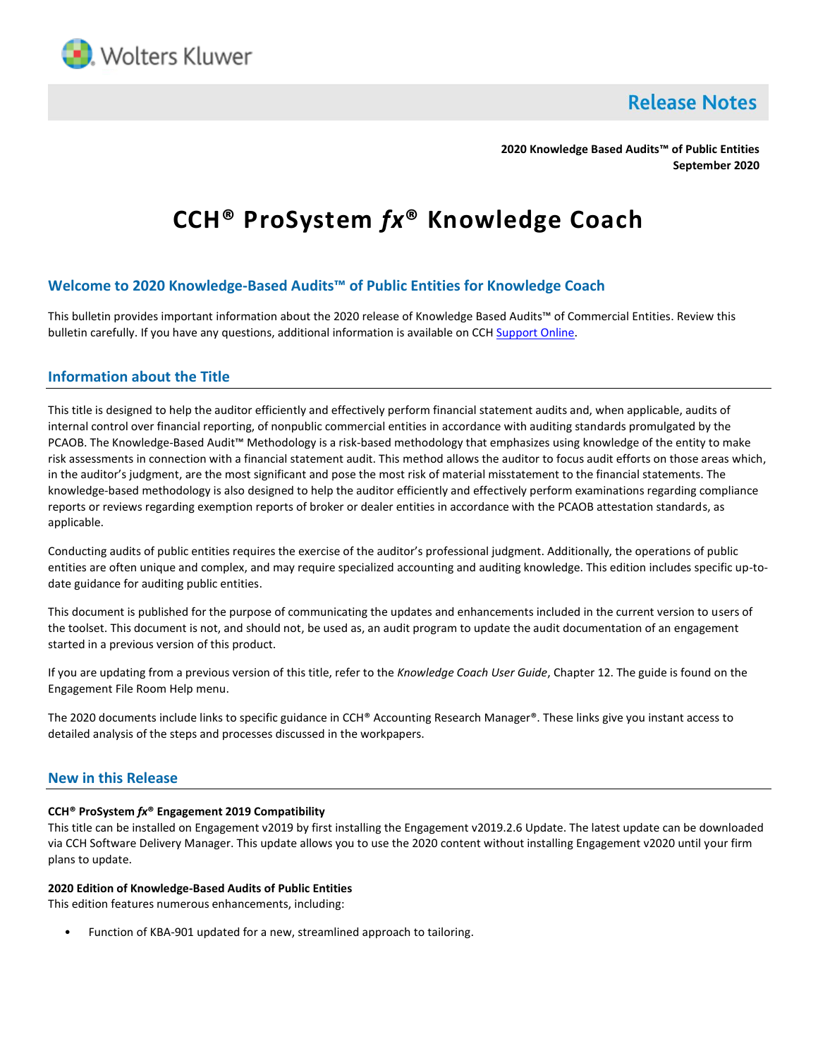

**Release Notes** 

**2020 Knowledge Based Audits™ of Public Entities September 2020**

# **CCH® ProSystem** *fx***® Knowledge Coach**

# **Welcome to 2020 Knowledge-Based Audits™ of Public Entities for Knowledge Coach**

This bulletin provides important information about the 2020 release of Knowledge Based Audits™ of Commercial Entities. Review this bulletin carefully. If you have any questions, additional information is available on CC[H Support Online.](http://support.cch.com/productsupport/)

## **Information about the Title**

This title is designed to help the auditor efficiently and effectively perform financial statement audits and, when applicable, audits of internal control over financial reporting, of nonpublic commercial entities in accordance with auditing standards promulgated by the PCAOB. The Knowledge-Based Audit™ Methodology is a risk-based methodology that emphasizes using knowledge of the entity to make risk assessments in connection with a financial statement audit. This method allows the auditor to focus audit efforts on those areas which, in the auditor's judgment, are the most significant and pose the most risk of material misstatement to the financial statements. The knowledge-based methodology is also designed to help the auditor efficiently and effectively perform examinations regarding compliance reports or reviews regarding exemption reports of broker or dealer entities in accordance with the PCAOB attestation standards, as applicable.

Conducting audits of public entities requires the exercise of the auditor's professional judgment. Additionally, the operations of public entities are often unique and complex, and may require specialized accounting and auditing knowledge. This edition includes specific up-todate guidance for auditing public entities.

This document is published for the purpose of communicating the updates and enhancements included in the current version to users of the toolset. This document is not, and should not, be used as, an audit program to update the audit documentation of an engagement started in a previous version of this product.

If you are updating from a previous version of this title, refer to the *Knowledge Coach User Guide*, Chapter 12. The guide is found on the Engagement File Room Help menu.

The 2020 documents include links to specific guidance in CCH® Accounting Research Manager®. These links give you instant access to detailed analysis of the steps and processes discussed in the workpapers.

### **New in this Release**

#### **CCH® ProSystem** *fx***® Engagement 2019 Compatibility**

This title can be installed on Engagement v2019 by first installing the Engagement v2019.2.6 Update. The latest update can be downloaded via CCH Software Delivery Manager. This update allows you to use the 2020 content without installing Engagement v2020 until your firm plans to update.

#### **2020 Edition of Knowledge-Based Audits of Public Entities**

This edition features numerous enhancements, including:

• Function of KBA-901 updated for a new, streamlined approach to tailoring.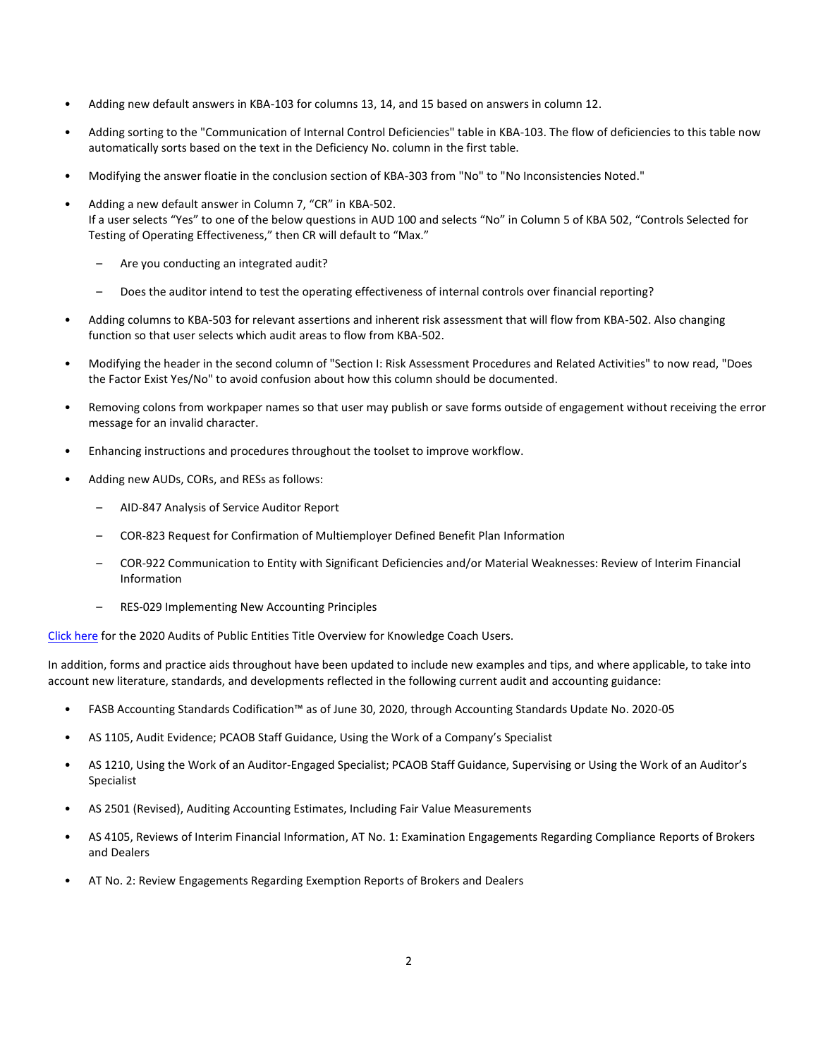- Adding new default answers in KBA-103 for columns 13, 14, and 15 based on answers in column 12.
- Adding sorting to the "Communication of Internal Control Deficiencies" table in KBA-103. The flow of deficiencies to this table now automatically sorts based on the text in the Deficiency No. column in the first table.
- Modifying the answer floatie in the conclusion section of KBA-303 from "No" to "No Inconsistencies Noted."
- Adding a new default answer in Column 7, "CR" in KBA-502. If a user selects "Yes" to one of the below questions in AUD 100 and selects "No" in Column 5 of KBA 502, "Controls Selected for Testing of Operating Effectiveness," then CR will default to "Max."
	- Are you conducting an integrated audit?
	- Does the auditor intend to test the operating effectiveness of internal controls over financial reporting?
- Adding columns to KBA-503 for relevant assertions and inherent risk assessment that will flow from KBA-502. Also changing function so that user selects which audit areas to flow from KBA-502.
- Modifying the header in the second column of "Section I: Risk Assessment Procedures and Related Activities" to now read, "Does the Factor Exist Yes/No" to avoid confusion about how this column should be documented.
- Removing colons from workpaper names so that user may publish or save forms outside of engagement without receiving the error message for an invalid character.
- Enhancing instructions and procedures throughout the toolset to improve workflow.
- Adding new AUDs, CORs, and RESs as follows:
	- AID-847 Analysis of Service Auditor Report
	- COR-823 Request for Confirmation of Multiemployer Defined Benefit Plan Information
	- COR-922 Communication to Entity with Significant Deficiencies and/or Material Weaknesses: Review of Interim Financial Information
	- RES-029 Implementing New Accounting Principles

[Click here](http://support.cch.com/updates/KnowledgeCoach/pdf/guides_tab/2020%20Public%20Entities%20Title%20Overview%20for%20Knowledge%20Coach%20Users.pdf) for the 2020 Audits of Public Entities Title Overview for Knowledge Coach Users.

In addition, forms and practice aids throughout have been updated to include new examples and tips, and where applicable, to take into account new literature, standards, and developments reflected in the following current audit and accounting guidance:

- FASB Accounting Standards Codification™ as of June 30, 2020, through Accounting Standards Update No. 2020-05
- AS 1105, Audit Evidence; PCAOB Staff Guidance, Using the Work of a Company's Specialist
- AS 1210, Using the Work of an Auditor-Engaged Specialist; PCAOB Staff Guidance, Supervising or Using the Work of an Auditor's Specialist
- AS 2501 (Revised), Auditing Accounting Estimates, Including Fair Value Measurements
- AS 4105, Reviews of Interim Financial Information, AT No. 1: Examination Engagements Regarding Compliance Reports of Brokers and Dealers
- AT No. 2: Review Engagements Regarding Exemption Reports of Brokers and Dealers